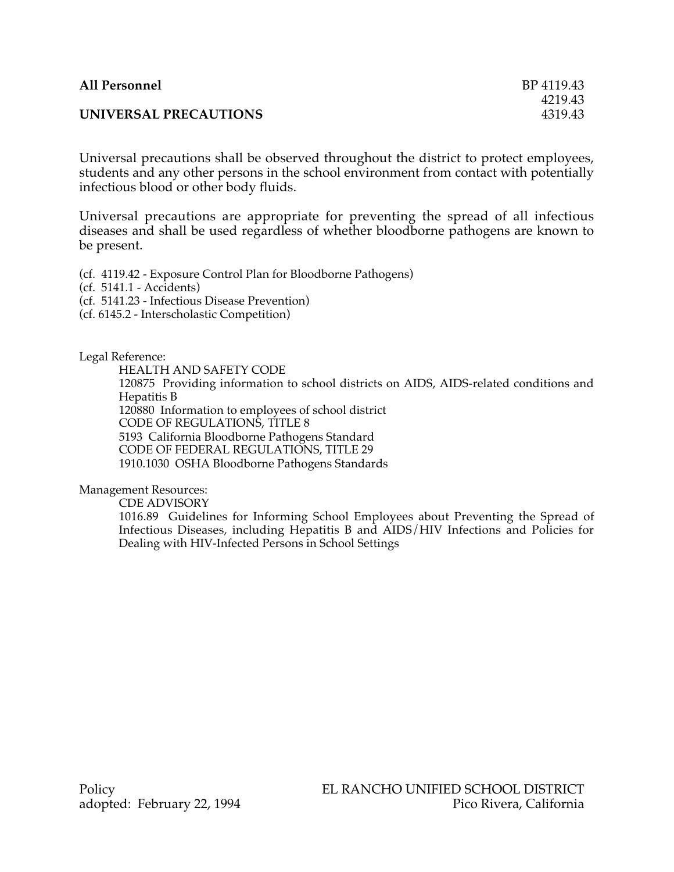| <b>All Personnel</b>  | BP 4119.43 |
|-----------------------|------------|
|                       | 4219.43    |
| UNIVERSAL PRECAUTIONS | 4319.43    |

Universal precautions shall be observed throughout the district to protect employees, students and any other persons in the school environment from contact with potentially infectious blood or other body fluids.

Universal precautions are appropriate for preventing the spread of all infectious diseases and shall be used regardless of whether bloodborne pathogens are known to be present.

(cf. 4119.42 - Exposure Control Plan for Bloodborne Pathogens)

(cf. 5141.1 - Accidents)

(cf. 5141.23 - Infectious Disease Prevention)

(cf. 6145.2 - Interscholastic Competition)

Legal Reference:

HEALTH AND SAFETY CODE

120875 Providing information to school districts on AIDS, AIDS-related conditions and Hepatitis B

120880 Information to employees of school district

CODE OF REGULATIONS, TITLE 8

5193 California Bloodborne Pathogens Standard

CODE OF FEDERAL REGULATIONS, TITLE 29

1910.1030 OSHA Bloodborne Pathogens Standards

Management Resources:

CDE ADVISORY

1016.89 Guidelines for Informing School Employees about Preventing the Spread of Infectious Diseases, including Hepatitis B and AIDS/HIV Infections and Policies for Dealing with HIV-Infected Persons in School Settings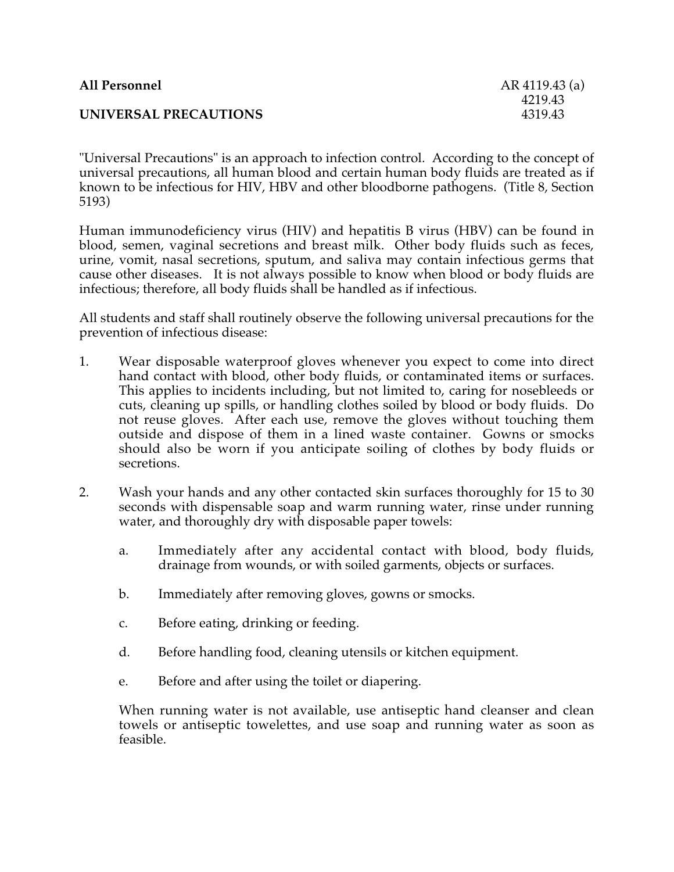| <b>All Personnel</b>  | AR 4119.43 (a) |
|-----------------------|----------------|
|                       | 4219.43        |
| UNIVERSAL PRECAUTIONS | 4319.43        |

"Universal Precautions" is an approach to infection control. According to the concept of universal precautions, all human blood and certain human body fluids are treated as if known to be infectious for HIV, HBV and other bloodborne pathogens. (Title 8, Section 5193)

Human immunodeficiency virus (HIV) and hepatitis B virus (HBV) can be found in blood, semen, vaginal secretions and breast milk. Other body fluids such as feces, urine, vomit, nasal secretions, sputum, and saliva may contain infectious germs that cause other diseases. It is not always possible to know when blood or body fluids are infectious; therefore, all body fluids shall be handled as if infectious.

All students and staff shall routinely observe the following universal precautions for the prevention of infectious disease:

- 1. Wear disposable waterproof gloves whenever you expect to come into direct hand contact with blood, other body fluids, or contaminated items or surfaces. This applies to incidents including, but not limited to, caring for nosebleeds or cuts, cleaning up spills, or handling clothes soiled by blood or body fluids. Do not reuse gloves. After each use, remove the gloves without touching them outside and dispose of them in a lined waste container. Gowns or smocks should also be worn if you anticipate soiling of clothes by body fluids or secretions.
- 2. Wash your hands and any other contacted skin surfaces thoroughly for 15 to 30 seconds with dispensable soap and warm running water, rinse under running water, and thoroughly dry with disposable paper towels:
	- a. Immediately after any accidental contact with blood, body fluids, drainage from wounds, or with soiled garments, objects or surfaces.
	- b. Immediately after removing gloves, gowns or smocks.
	- c. Before eating, drinking or feeding.
	- d. Before handling food, cleaning utensils or kitchen equipment.
	- e. Before and after using the toilet or diapering.

When running water is not available, use antiseptic hand cleanser and clean towels or antiseptic towelettes, and use soap and running water as soon as feasible.